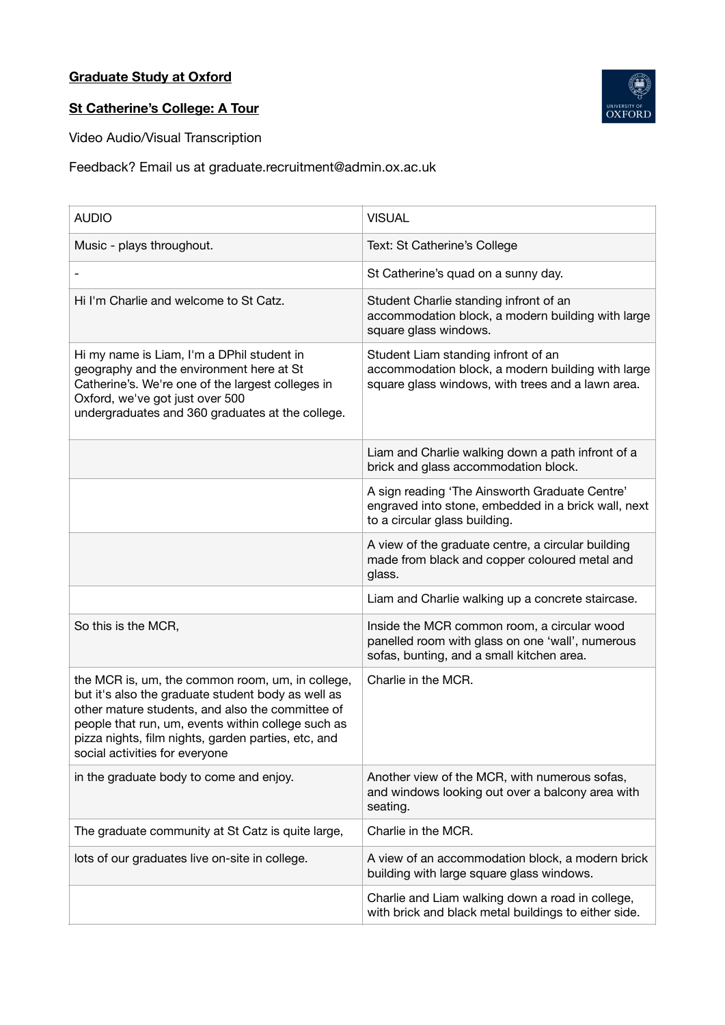## **Graduate Study at Oxford**



## **St Catherine's College: A Tour**

Video Audio/Visual Transcription

Feedback? Email us at graduate.recruitment@admin.ox.ac.uk

| <b>AUDIO</b>                                                                                                                                                                                                                                                                                              | <b>VISUAL</b>                                                                                                                                 |
|-----------------------------------------------------------------------------------------------------------------------------------------------------------------------------------------------------------------------------------------------------------------------------------------------------------|-----------------------------------------------------------------------------------------------------------------------------------------------|
| Music - plays throughout.                                                                                                                                                                                                                                                                                 | Text: St Catherine's College                                                                                                                  |
|                                                                                                                                                                                                                                                                                                           | St Catherine's quad on a sunny day.                                                                                                           |
| Hi I'm Charlie and welcome to St Catz.                                                                                                                                                                                                                                                                    | Student Charlie standing infront of an<br>accommodation block, a modern building with large<br>square glass windows.                          |
| Hi my name is Liam, I'm a DPhil student in<br>geography and the environment here at St<br>Catherine's. We're one of the largest colleges in<br>Oxford, we've got just over 500<br>undergraduates and 360 graduates at the college.                                                                        | Student Liam standing infront of an<br>accommodation block, a modern building with large<br>square glass windows, with trees and a lawn area. |
|                                                                                                                                                                                                                                                                                                           | Liam and Charlie walking down a path infront of a<br>brick and glass accommodation block.                                                     |
|                                                                                                                                                                                                                                                                                                           | A sign reading 'The Ainsworth Graduate Centre'<br>engraved into stone, embedded in a brick wall, next<br>to a circular glass building.        |
|                                                                                                                                                                                                                                                                                                           | A view of the graduate centre, a circular building<br>made from black and copper coloured metal and<br>glass.                                 |
|                                                                                                                                                                                                                                                                                                           | Liam and Charlie walking up a concrete staircase.                                                                                             |
| So this is the MCR,                                                                                                                                                                                                                                                                                       | Inside the MCR common room, a circular wood<br>panelled room with glass on one 'wall', numerous<br>sofas, bunting, and a small kitchen area.  |
| the MCR is, um, the common room, um, in college,<br>but it's also the graduate student body as well as<br>other mature students, and also the committee of<br>people that run, um, events within college such as<br>pizza nights, film nights, garden parties, etc, and<br>social activities for everyone | Charlie in the MCR.                                                                                                                           |
| in the graduate body to come and enjoy.                                                                                                                                                                                                                                                                   | Another view of the MCR, with numerous sofas,<br>and windows looking out over a balcony area with<br>seating.                                 |
| The graduate community at St Catz is quite large,                                                                                                                                                                                                                                                         | Charlie in the MCR.                                                                                                                           |
| lots of our graduates live on-site in college.                                                                                                                                                                                                                                                            | A view of an accommodation block, a modern brick<br>building with large square glass windows.                                                 |
|                                                                                                                                                                                                                                                                                                           | Charlie and Liam walking down a road in college,<br>with brick and black metal buildings to either side.                                      |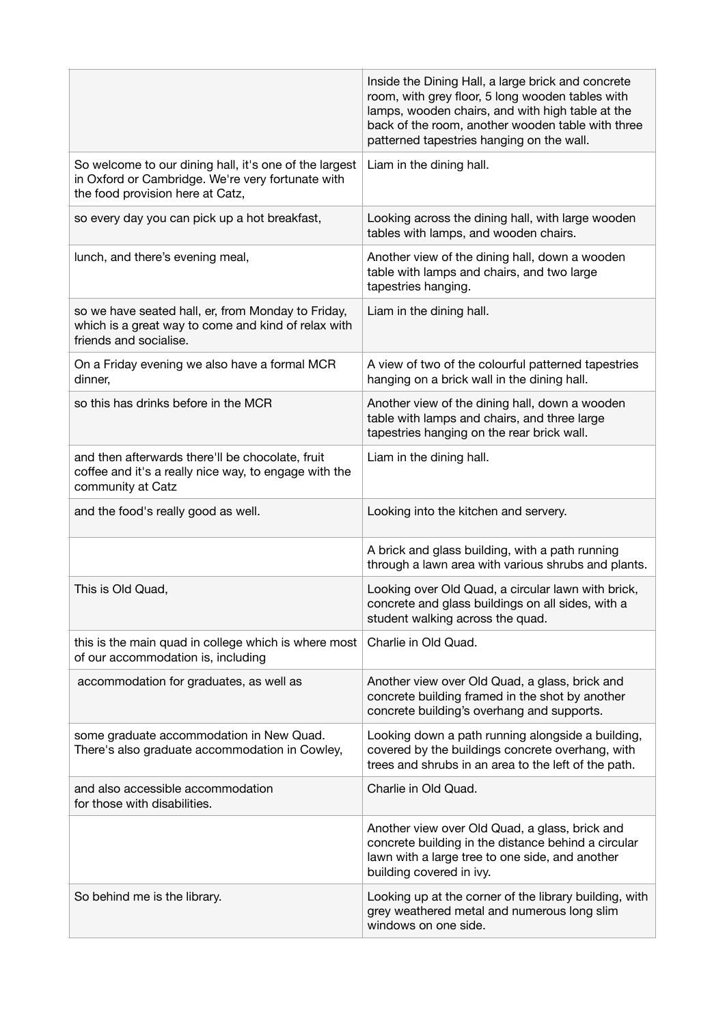|                                                                                                                                                 | Inside the Dining Hall, a large brick and concrete<br>room, with grey floor, 5 long wooden tables with<br>lamps, wooden chairs, and with high table at the<br>back of the room, another wooden table with three<br>patterned tapestries hanging on the wall. |
|-------------------------------------------------------------------------------------------------------------------------------------------------|--------------------------------------------------------------------------------------------------------------------------------------------------------------------------------------------------------------------------------------------------------------|
| So welcome to our dining hall, it's one of the largest<br>in Oxford or Cambridge. We're very fortunate with<br>the food provision here at Catz, | Liam in the dining hall.                                                                                                                                                                                                                                     |
| so every day you can pick up a hot breakfast,                                                                                                   | Looking across the dining hall, with large wooden<br>tables with lamps, and wooden chairs.                                                                                                                                                                   |
| lunch, and there's evening meal,                                                                                                                | Another view of the dining hall, down a wooden<br>table with lamps and chairs, and two large<br>tapestries hanging.                                                                                                                                          |
| so we have seated hall, er, from Monday to Friday,<br>which is a great way to come and kind of relax with<br>friends and socialise.             | Liam in the dining hall.                                                                                                                                                                                                                                     |
| On a Friday evening we also have a formal MCR<br>dinner,                                                                                        | A view of two of the colourful patterned tapestries<br>hanging on a brick wall in the dining hall.                                                                                                                                                           |
| so this has drinks before in the MCR                                                                                                            | Another view of the dining hall, down a wooden<br>table with lamps and chairs, and three large<br>tapestries hanging on the rear brick wall.                                                                                                                 |
| and then afterwards there'll be chocolate, fruit<br>coffee and it's a really nice way, to engage with the<br>community at Catz                  | Liam in the dining hall.                                                                                                                                                                                                                                     |
| and the food's really good as well.                                                                                                             | Looking into the kitchen and servery.                                                                                                                                                                                                                        |
|                                                                                                                                                 | A brick and glass building, with a path running<br>through a lawn area with various shrubs and plants.                                                                                                                                                       |
| This is Old Quad,                                                                                                                               | Looking over Old Quad, a circular lawn with brick,<br>concrete and glass buildings on all sides, with a<br>student walking across the quad.                                                                                                                  |
| this is the main quad in college which is where most<br>of our accommodation is, including                                                      | Charlie in Old Quad.                                                                                                                                                                                                                                         |
| accommodation for graduates, as well as                                                                                                         | Another view over Old Quad, a glass, brick and<br>concrete building framed in the shot by another<br>concrete building's overhang and supports.                                                                                                              |
| some graduate accommodation in New Quad.<br>There's also graduate accommodation in Cowley,                                                      | Looking down a path running alongside a building,<br>covered by the buildings concrete overhang, with<br>trees and shrubs in an area to the left of the path.                                                                                                |
| and also accessible accommodation<br>for those with disabilities.                                                                               | Charlie in Old Quad.                                                                                                                                                                                                                                         |
|                                                                                                                                                 | Another view over Old Quad, a glass, brick and<br>concrete building in the distance behind a circular<br>lawn with a large tree to one side, and another<br>building covered in ivy.                                                                         |
| So behind me is the library.                                                                                                                    | Looking up at the corner of the library building, with<br>grey weathered metal and numerous long slim<br>windows on one side.                                                                                                                                |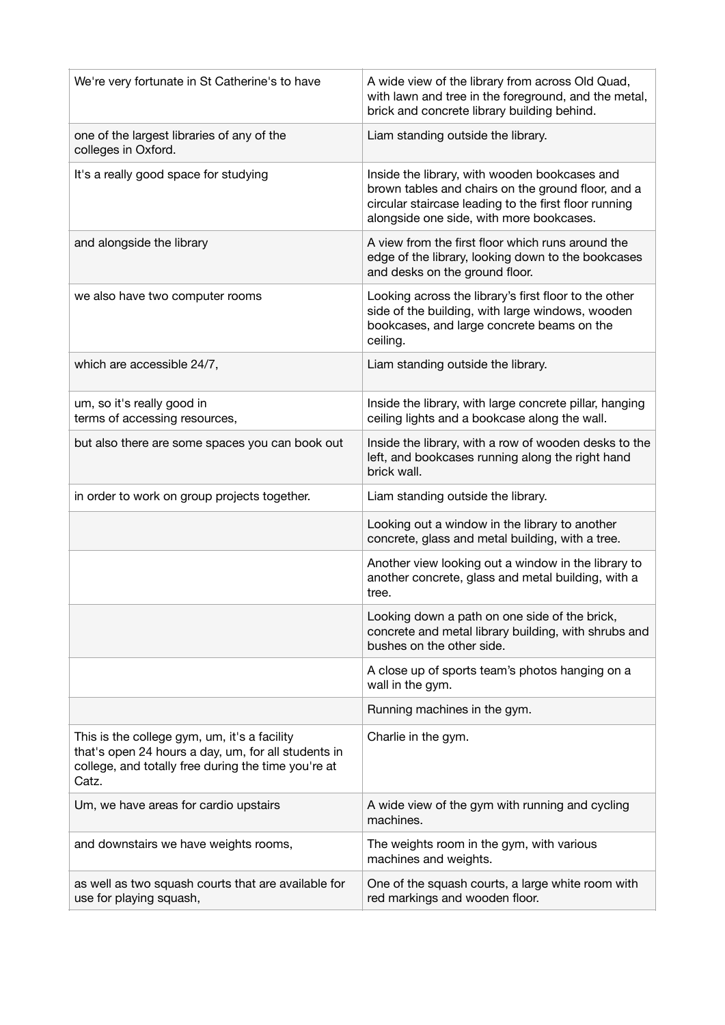| We're very fortunate in St Catherine's to have                                                                                                                      | A wide view of the library from across Old Quad,<br>with lawn and tree in the foreground, and the metal,<br>brick and concrete library building behind.                                                  |
|---------------------------------------------------------------------------------------------------------------------------------------------------------------------|----------------------------------------------------------------------------------------------------------------------------------------------------------------------------------------------------------|
| one of the largest libraries of any of the<br>colleges in Oxford.                                                                                                   | Liam standing outside the library.                                                                                                                                                                       |
| It's a really good space for studying                                                                                                                               | Inside the library, with wooden bookcases and<br>brown tables and chairs on the ground floor, and a<br>circular staircase leading to the first floor running<br>alongside one side, with more bookcases. |
| and alongside the library                                                                                                                                           | A view from the first floor which runs around the<br>edge of the library, looking down to the bookcases<br>and desks on the ground floor.                                                                |
| we also have two computer rooms                                                                                                                                     | Looking across the library's first floor to the other<br>side of the building, with large windows, wooden<br>bookcases, and large concrete beams on the<br>ceiling.                                      |
| which are accessible 24/7,                                                                                                                                          | Liam standing outside the library.                                                                                                                                                                       |
| um, so it's really good in<br>terms of accessing resources,                                                                                                         | Inside the library, with large concrete pillar, hanging<br>ceiling lights and a bookcase along the wall.                                                                                                 |
| but also there are some spaces you can book out                                                                                                                     | Inside the library, with a row of wooden desks to the<br>left, and bookcases running along the right hand<br>brick wall.                                                                                 |
| in order to work on group projects together.                                                                                                                        | Liam standing outside the library.                                                                                                                                                                       |
|                                                                                                                                                                     |                                                                                                                                                                                                          |
|                                                                                                                                                                     | Looking out a window in the library to another<br>concrete, glass and metal building, with a tree.                                                                                                       |
|                                                                                                                                                                     | Another view looking out a window in the library to<br>another concrete, glass and metal building, with a<br>tree.                                                                                       |
|                                                                                                                                                                     | Looking down a path on one side of the brick,<br>concrete and metal library building, with shrubs and<br>bushes on the other side.                                                                       |
|                                                                                                                                                                     | A close up of sports team's photos hanging on a<br>wall in the gym.                                                                                                                                      |
|                                                                                                                                                                     | Running machines in the gym.                                                                                                                                                                             |
| This is the college gym, um, it's a facility<br>that's open 24 hours a day, um, for all students in<br>college, and totally free during the time you're at<br>Catz. | Charlie in the gym.                                                                                                                                                                                      |
| Um, we have areas for cardio upstairs                                                                                                                               | A wide view of the gym with running and cycling<br>machines.                                                                                                                                             |
| and downstairs we have weights rooms,                                                                                                                               | The weights room in the gym, with various<br>machines and weights.                                                                                                                                       |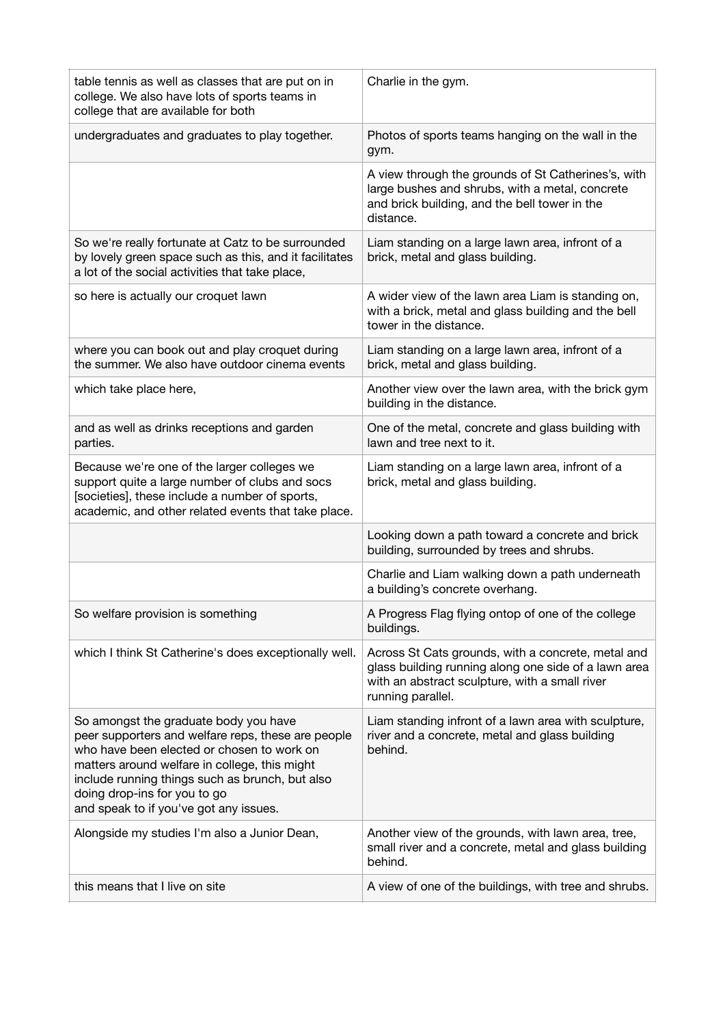| table tennis as well as classes that are put on in<br>college. We also have lots of sports teams in<br>college that are available for both                                                                                                                                                                              | Charlie in the gym.                                                                                                                                                               |
|-------------------------------------------------------------------------------------------------------------------------------------------------------------------------------------------------------------------------------------------------------------------------------------------------------------------------|-----------------------------------------------------------------------------------------------------------------------------------------------------------------------------------|
| undergraduates and graduates to play together.                                                                                                                                                                                                                                                                          | Photos of sports teams hanging on the wall in the<br>gym.                                                                                                                         |
|                                                                                                                                                                                                                                                                                                                         | A view through the grounds of St Catherines's, with<br>large bushes and shrubs, with a metal, concrete<br>and brick building, and the bell tower in the<br>distance.              |
| So we're really fortunate at Catz to be surrounded<br>by lovely green space such as this, and it facilitates<br>a lot of the social activities that take place,                                                                                                                                                         | Liam standing on a large lawn area, infront of a<br>brick, metal and glass building.                                                                                              |
| so here is actually our croquet lawn                                                                                                                                                                                                                                                                                    | A wider view of the lawn area Liam is standing on,<br>with a brick, metal and glass building and the bell<br>tower in the distance.                                               |
| where you can book out and play croquet during<br>the summer. We also have outdoor cinema events                                                                                                                                                                                                                        | Liam standing on a large lawn area, infront of a<br>brick, metal and glass building.                                                                                              |
| which take place here,                                                                                                                                                                                                                                                                                                  | Another view over the lawn area, with the brick gym<br>building in the distance.                                                                                                  |
| and as well as drinks receptions and garden<br>parties.                                                                                                                                                                                                                                                                 | One of the metal, concrete and glass building with<br>lawn and tree next to it.                                                                                                   |
| Because we're one of the larger colleges we<br>support quite a large number of clubs and socs<br>[societies], these include a number of sports,<br>academic, and other related events that take place.                                                                                                                  | Liam standing on a large lawn area, infront of a<br>brick, metal and glass building.                                                                                              |
|                                                                                                                                                                                                                                                                                                                         | Looking down a path toward a concrete and brick<br>building, surrounded by trees and shrubs.                                                                                      |
|                                                                                                                                                                                                                                                                                                                         | Charlie and Liam walking down a path underneath<br>a building's concrete overhang.                                                                                                |
| So welfare provision is something                                                                                                                                                                                                                                                                                       | A Progress Flag flying ontop of one of the college<br>buildings.                                                                                                                  |
| which I think St Catherine's does exceptionally well.                                                                                                                                                                                                                                                                   | Across St Cats grounds, with a concrete, metal and<br>glass building running along one side of a lawn area<br>with an abstract sculpture, with a small river<br>running parallel. |
| So amongst the graduate body you have<br>peer supporters and welfare reps, these are people<br>who have been elected or chosen to work on<br>matters around welfare in college, this might<br>include running things such as brunch, but also<br>doing drop-ins for you to go<br>and speak to if you've got any issues. | Liam standing infront of a lawn area with sculpture,<br>river and a concrete, metal and glass building<br>behind.                                                                 |
| Alongside my studies I'm also a Junior Dean,                                                                                                                                                                                                                                                                            | Another view of the grounds, with lawn area, tree,<br>small river and a concrete, metal and glass building<br>behind.                                                             |
| this means that I live on site                                                                                                                                                                                                                                                                                          | A view of one of the buildings, with tree and shrubs.                                                                                                                             |